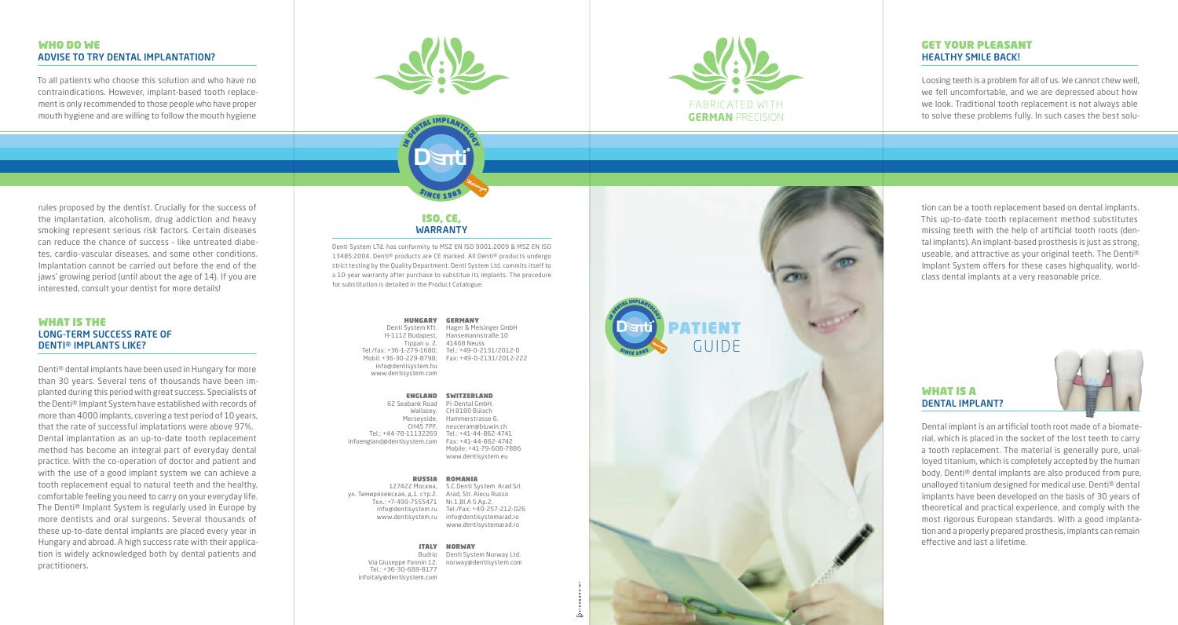## WHO DO WE ADVISE TO TRY DENTAL IMPLANTATION?

To all patients who choose this solution and who have no contraindications. However, implant-based tooth replacement is only recommended to those people who have proper mouth hygiene and are willing to follow the mouth hygiene





## GET YOUR PLEASANT HEALTHY SMILE BACK!

Loosing teeth is a problem for all of us. We cannot chew well, we fell uncomfortable, and we are depressed about how we look. Traditional tooth replacement is not always able to solve these problems fully. In such cases the best solu-

rules proposed by the dentist. Crucially for the success of the implantation, alcoholism, drug addiction and heavy smoking represent serious risk factors. Certain diseases can reduce the chance of success – like untreated diabetes, cardio-vascular diseases, and some other conditions. Implantation cannot be carried out before the end of the jaws' growing period (until about the age of 14). If you are interested, consult your dentist for more details!

### WHAT IS THE LONG-TERM SUCCESS RATE OF DENTI® IMPLANTS LIKE?

Denti® dental implants have been used in Hungary for more than 30 years. Several tens of thousands have been implanted during this period with great success. Specialists of the Denti® Implant System have established with records of more than 4000 implants, covering a test period of 10 years, that the rate of successful implatations were above 97%. Dental implantation as an up-to-date tooth replacement method has become an integral part of everyday dental practice. With the co-operation of doctor and patient and with the use of a good implant system we can achieve a tooth replacement equal to natural teeth and the healthy, comfortable feeling you need to carry on your everyday life. The Denti® Implant System is regularly used in Europe by more dentists and oral surgeons. Several thousands of these up-to-date dental implants are placed every year in Hungary and abroad. A high success rate with their application is widely acknowledged both by dental patients and practitioners.

# ISO, CE, WARRANTY

Denti System LTd. has conformity to MSZ EN ISO 9001:2009 & MSZ EN ISO 13485:2004. Denti® products are CE marked. All Denti® products undergo strict testing by the Quality Department. Denti System Ltd. commits itself to a 10-year warranty after purchase to substitue its implants. The procedure for substitution is detailed in the Product Catalogue.

> HUNGARY GERMANY Denti System Kft. H-1112 Budapest, Hansemannstraße 10 Tippan u. 2. 41468 Neuss Tel./fax: +36-1-279-1680; Tel.: +49-0-2131/2012-0 Mobil: +36-30-229-8798; Fax: +49-0-2131/2012-222 info@dentisystem.hu www.dentisystem.com Hager & Meisinger GmbH

| <b>ENGLAND</b>        | <b>SWITZERLAND</b>      |
|-----------------------|-------------------------|
| 62 Seabank Road       | Pi-Dental GmbH.         |
| Wallasey,             | CH 8180 Bülach          |
| Merseyside,           | Hammerstrasse 6.        |
| CH45 7PF.             | neuceram@bluwin.ch      |
| Tel.: +44-78-11132269 | Tel.: +41-44-862-4741   |
| gland@dentisystem.com | Fax: +41-44-862-4742    |
|                       | Mobile: +41-79-608-7886 |
|                       | www.dentisystem.eu      |
|                       |                         |

infoen

#### RUSSIA ROMANIA

127422 Москва, S.C.Denti System Arad Srl.  $V_A$  Тимирязевская  $A$ 1 стр.2. Тел.: +7-499-7555471 Nr.1.Bl.A 5.Ap.2. info@dentisystem.ru Tel./Fax: +40-257-212-026 www.dentisystem.ru info@dentisystemarad.ro Arad, Str. Alecu Russo www.dentisystemarad.ro

#### ITALY NORWAY

Budrio Denti System Norway Ltd. Via Giuseppe Fannin 12. Tel.: +36-30-688-8177 infoitaly@dentisystem.com norway@dentisystem.com



tion can be a tooth replacement based on dental implants. This up-to-date tooth replacement method substitutes missing teeth with the help of artificial tooth roots (dental implants). An implant-based prosthesis is just as strong, useable, and attractive as your original teeth. The Denti® Implant System offers for these cases highquality, worldclass dental implants at a very reasonable price.

## WHAT IS A DENTAL IMPLANT?



Dental implant is an artificial tooth root made of a biomaterial, which is placed in the socket of the lost teeth to carry a tooth replacement. The material is generally pure, unalloyed titanium, which is completely accepted by the human body. Denti® dental implants are also produced from pure, unalloyed titanium designed for medical use. Denti® dental implants have been developed on the basis of 30 years of theoretical and practical experience, and comply with the most rigorous European standards. With a good implantation and a properly prepared prosthesis, implants can remain effective and last a lifetime.